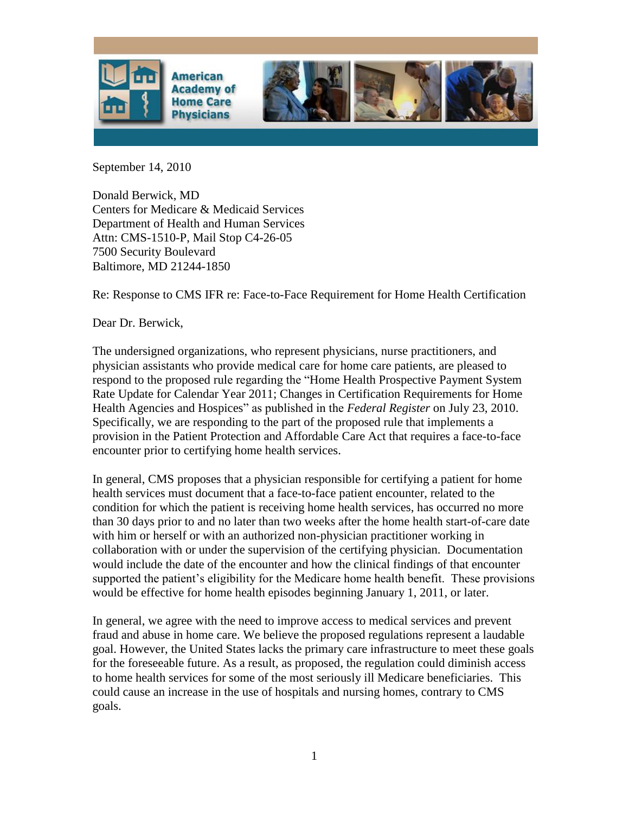

September 14, 2010

Donald Berwick, MD Centers for Medicare & Medicaid Services Department of Health and Human Services Attn: CMS-1510-P, Mail Stop C4-26-05 7500 Security Boulevard Baltimore, MD 21244-1850

Re: Response to CMS IFR re: Face-to-Face Requirement for Home Health Certification

Dear Dr. Berwick,

The undersigned organizations, who represent physicians, nurse practitioners, and physician assistants who provide medical care for home care patients, are pleased to respond to the proposed rule regarding the "Home Health Prospective Payment System Rate Update for Calendar Year 2011; Changes in Certification Requirements for Home Health Agencies and Hospices" as published in the *Federal Register* on July 23, 2010. Specifically, we are responding to the part of the proposed rule that implements a provision in the Patient Protection and Affordable Care Act that requires a face-to-face encounter prior to certifying home health services.

In general, CMS proposes that a physician responsible for certifying a patient for home health services must document that a face-to-face patient encounter, related to the condition for which the patient is receiving home health services, has occurred no more than 30 days prior to and no later than two weeks after the home health start-of-care date with him or herself or with an authorized non-physician practitioner working in collaboration with or under the supervision of the certifying physician. Documentation would include the date of the encounter and how the clinical findings of that encounter supported the patient's eligibility for the Medicare home health benefit. These provisions would be effective for home health episodes beginning January 1, 2011, or later.

In general, we agree with the need to improve access to medical services and prevent fraud and abuse in home care. We believe the proposed regulations represent a laudable goal. However, the United States lacks the primary care infrastructure to meet these goals for the foreseeable future. As a result, as proposed, the regulation could diminish access to home health services for some of the most seriously ill Medicare beneficiaries. This could cause an increase in the use of hospitals and nursing homes, contrary to CMS goals.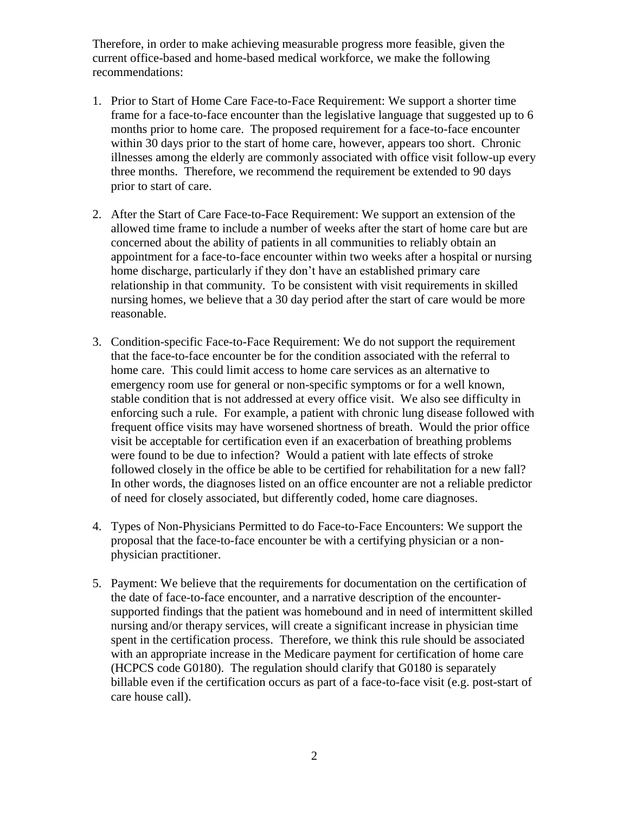Therefore, in order to make achieving measurable progress more feasible, given the current office-based and home-based medical workforce, we make the following recommendations:

- 1. Prior to Start of Home Care Face-to-Face Requirement: We support a shorter time frame for a face-to-face encounter than the legislative language that suggested up to 6 months prior to home care. The proposed requirement for a face-to-face encounter within 30 days prior to the start of home care, however, appears too short. Chronic illnesses among the elderly are commonly associated with office visit follow-up every three months. Therefore, we recommend the requirement be extended to 90 days prior to start of care.
- 2. After the Start of Care Face-to-Face Requirement: We support an extension of the allowed time frame to include a number of weeks after the start of home care but are concerned about the ability of patients in all communities to reliably obtain an appointment for a face-to-face encounter within two weeks after a hospital or nursing home discharge, particularly if they don't have an established primary care relationship in that community. To be consistent with visit requirements in skilled nursing homes, we believe that a 30 day period after the start of care would be more reasonable.
- 3. Condition-specific Face-to-Face Requirement: We do not support the requirement that the face-to-face encounter be for the condition associated with the referral to home care. This could limit access to home care services as an alternative to emergency room use for general or non-specific symptoms or for a well known, stable condition that is not addressed at every office visit. We also see difficulty in enforcing such a rule. For example, a patient with chronic lung disease followed with frequent office visits may have worsened shortness of breath. Would the prior office visit be acceptable for certification even if an exacerbation of breathing problems were found to be due to infection? Would a patient with late effects of stroke followed closely in the office be able to be certified for rehabilitation for a new fall? In other words, the diagnoses listed on an office encounter are not a reliable predictor of need for closely associated, but differently coded, home care diagnoses.
- 4. Types of Non-Physicians Permitted to do Face-to-Face Encounters: We support the proposal that the face-to-face encounter be with a certifying physician or a nonphysician practitioner.
- 5. Payment: We believe that the requirements for documentation on the certification of the date of face-to-face encounter, and a narrative description of the encountersupported findings that the patient was homebound and in need of intermittent skilled nursing and/or therapy services, will create a significant increase in physician time spent in the certification process. Therefore, we think this rule should be associated with an appropriate increase in the Medicare payment for certification of home care (HCPCS code G0180). The regulation should clarify that G0180 is separately billable even if the certification occurs as part of a face-to-face visit (e.g. post-start of care house call).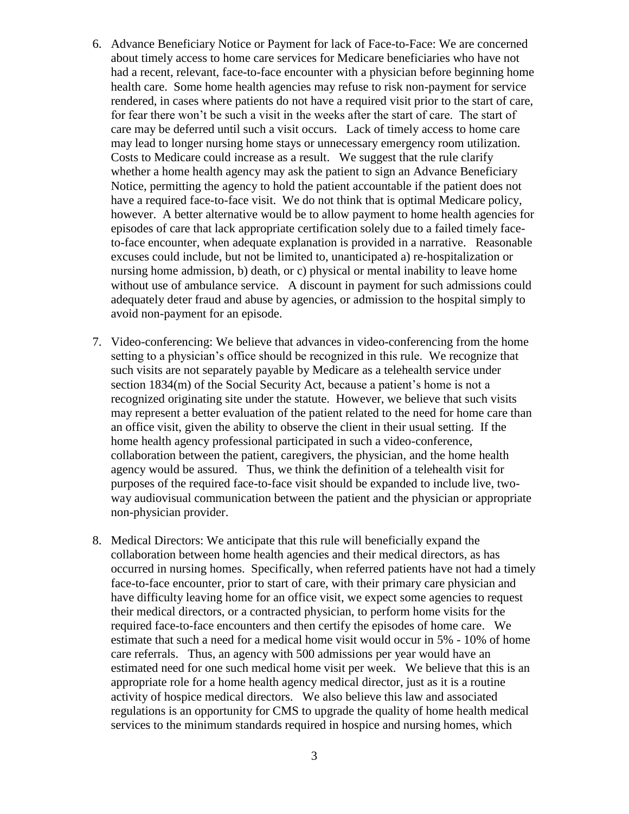- 6. Advance Beneficiary Notice or Payment for lack of Face-to-Face: We are concerned about timely access to home care services for Medicare beneficiaries who have not had a recent, relevant, face-to-face encounter with a physician before beginning home health care. Some home health agencies may refuse to risk non-payment for service rendered, in cases where patients do not have a required visit prior to the start of care, for fear there won't be such a visit in the weeks after the start of care. The start of care may be deferred until such a visit occurs. Lack of timely access to home care may lead to longer nursing home stays or unnecessary emergency room utilization. Costs to Medicare could increase as a result. We suggest that the rule clarify whether a home health agency may ask the patient to sign an Advance Beneficiary Notice, permitting the agency to hold the patient accountable if the patient does not have a required face-to-face visit. We do not think that is optimal Medicare policy, however. A better alternative would be to allow payment to home health agencies for episodes of care that lack appropriate certification solely due to a failed timely faceto-face encounter, when adequate explanation is provided in a narrative. Reasonable excuses could include, but not be limited to, unanticipated a) re-hospitalization or nursing home admission, b) death, or c) physical or mental inability to leave home without use of ambulance service. A discount in payment for such admissions could adequately deter fraud and abuse by agencies, or admission to the hospital simply to avoid non-payment for an episode.
- 7. Video-conferencing: We believe that advances in video-conferencing from the home setting to a physician's office should be recognized in this rule. We recognize that such visits are not separately payable by Medicare as a telehealth service under section 1834(m) of the Social Security Act, because a patient's home is not a recognized originating site under the statute. However, we believe that such visits may represent a better evaluation of the patient related to the need for home care than an office visit, given the ability to observe the client in their usual setting. If the home health agency professional participated in such a video-conference, collaboration between the patient, caregivers, the physician, and the home health agency would be assured. Thus, we think the definition of a telehealth visit for purposes of the required face-to-face visit should be expanded to include live, twoway audiovisual communication between the patient and the physician or appropriate non-physician provider.
- 8. Medical Directors: We anticipate that this rule will beneficially expand the collaboration between home health agencies and their medical directors, as has occurred in nursing homes. Specifically, when referred patients have not had a timely face-to-face encounter, prior to start of care, with their primary care physician and have difficulty leaving home for an office visit, we expect some agencies to request their medical directors, or a contracted physician, to perform home visits for the required face-to-face encounters and then certify the episodes of home care. We estimate that such a need for a medical home visit would occur in 5% - 10% of home care referrals. Thus, an agency with 500 admissions per year would have an estimated need for one such medical home visit per week. We believe that this is an appropriate role for a home health agency medical director, just as it is a routine activity of hospice medical directors. We also believe this law and associated regulations is an opportunity for CMS to upgrade the quality of home health medical services to the minimum standards required in hospice and nursing homes, which